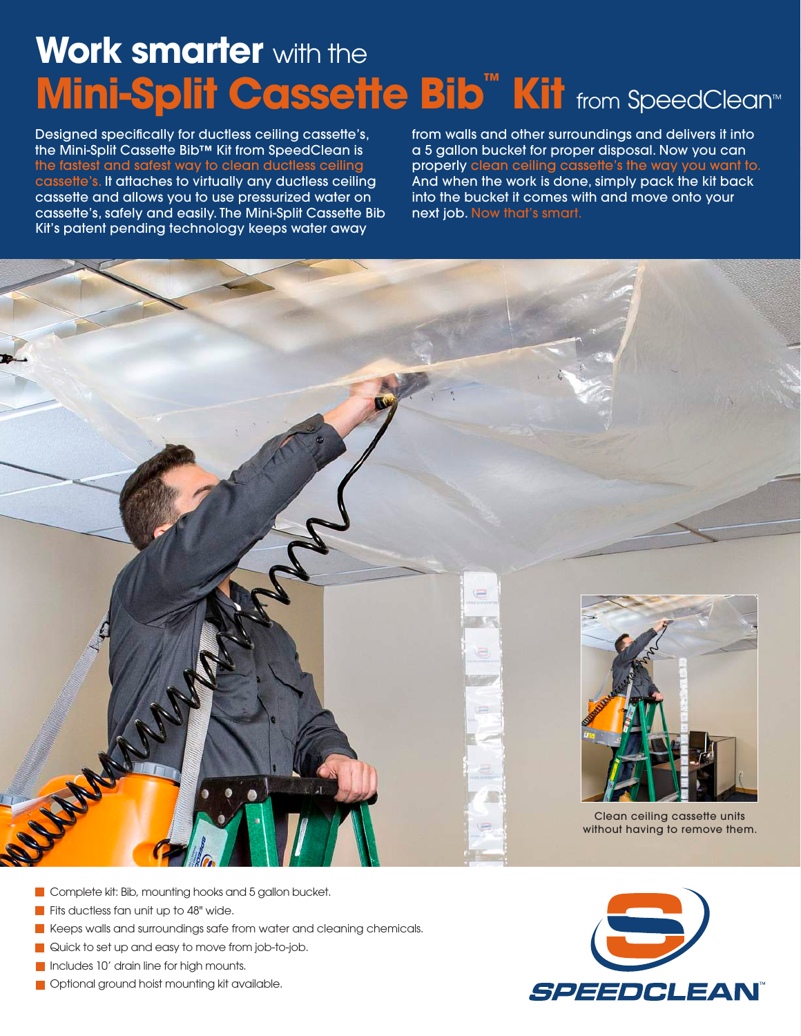# **Work smarter** with the **Mini-Split Cassette Bib<sup>™</sup> Kit from SpeedClean™**

Designed specifically for ductless ceiling cassette's, the Mini-Split Cassette Bib™ Kit from SpeedClean is the fastest and safest way to clean ductless ceiling cassette's. It attaches to virtually any ductless ceiling cassette and allows you to use pressurized water on cassette's, safely and easily. The Mini-Split Cassette Bib Kit's patent pending technology keeps water away

from walls and other surroundings and delivers it into a 5 gallon bucket for proper disposal. Now you can properly clean ceiling cassette's the way you want to. And when the work is done, simply pack the kit back into the bucket it comes with and move onto your next job. Now that's smart.



- **Complete kit: Bib, mounting hooks and 5 gallon bucket.**
- Fits ductless fan unit up to 48" wide.
- Keeps walls and surroundings safe from water and cleaning chemicals.
- Quick to set up and easy to move from job-to-job.
- Includes 10' drain line for high mounts.
- **Optional ground hoist mounting kit available.**